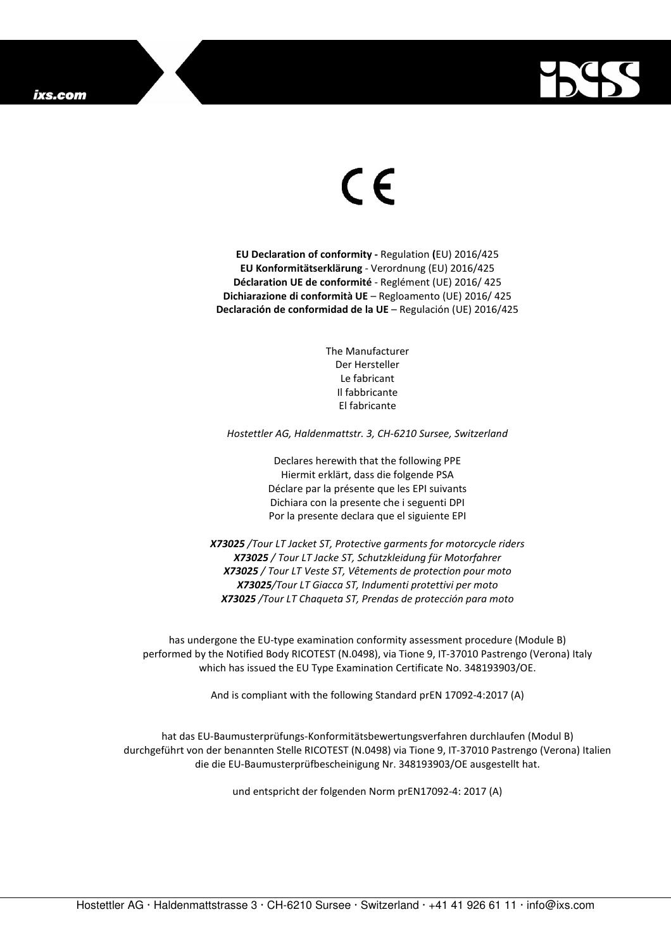

## $\epsilon$

**EU Declaration of conformity -** Regulation **(**EU) 2016/425 **EU Konformitätserklärung** - Verordnung (EU) 2016/425 **Déclaration UE de conformité** - Reglément (UE) 2016/ 425 **Dichiarazione di conformità UE** – Regloamento (UE) 2016/ 425 **Declaración de conformidad de la UE** – Regulación (UE) 2016/425

> The Manufacturer Der Hersteller Le fabricant Il fabbricante El fabricante

*Hostettler AG, Haldenmattstr. 3, CH-6210 Sursee, Switzerland* 

Declares herewith that the following PPE Hiermit erklärt, dass die folgende PSA Déclare par la présente que les EPI suivants Dichiara con la presente che i seguenti DPI Por la presente declara que el siguiente EPI

*X73025 /Tour LT Jacket ST, Protective garments for motorcycle riders X73025 / Tour LT Jacke ST, Schutzkleidung für Motorfahrer X73025 / Tour LT Veste ST, Vêtements de protection pour moto X73025/Tour LT Giacca ST, Indumenti protettivi per moto X73025 /Tour LT Chaqueta ST, Prendas de protección para moto* 

has undergone the EU-type examination conformity assessment procedure (Module B) performed by the Notified Body RICOTEST (N.0498), via Tione 9, IT-37010 Pastrengo (Verona) Italy which has issued the EU Type Examination Certificate No. 348193903/OE.

And is compliant with the following Standard prEN 17092-4:2017 (A)

hat das EU-Baumusterprüfungs-Konformitätsbewertungsverfahren durchlaufen (Modul B) durchgeführt von der benannten Stelle RICOTEST (N.0498) via Tione 9, IT-37010 Pastrengo (Verona) Italien die die EU-Baumusterprüfbescheinigung Nr. 348193903/OE ausgestellt hat.

und entspricht der folgenden Norm prEN17092-4: 2017 (A)